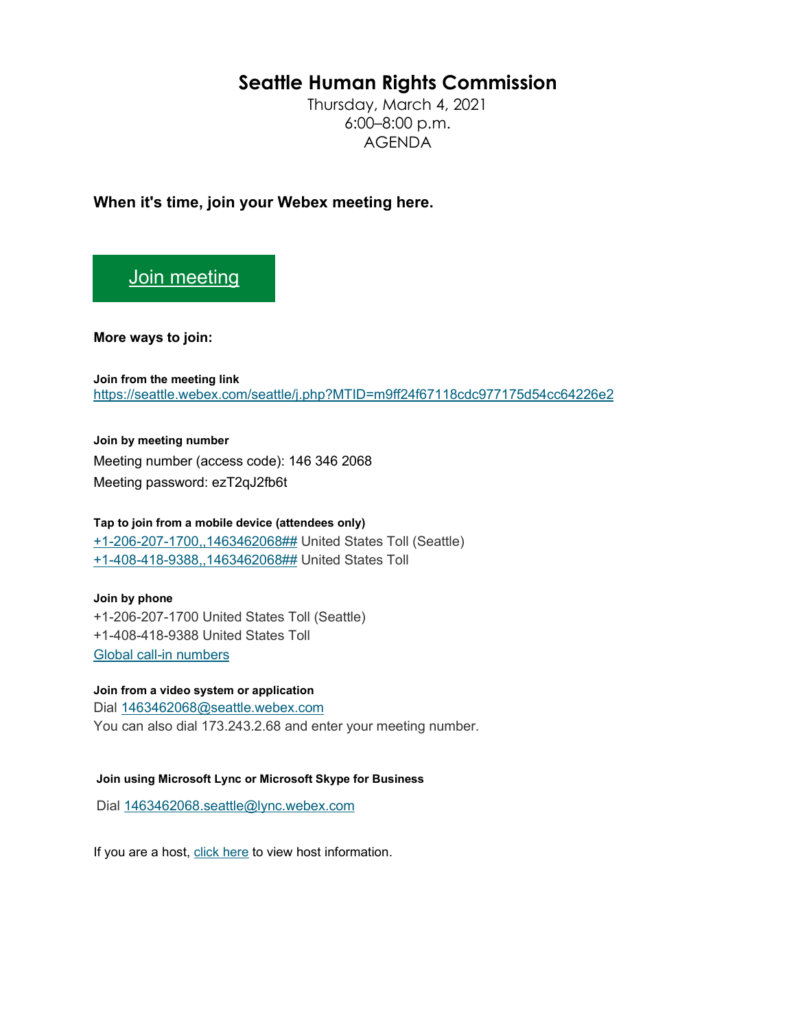# **Seattle Human Rights Commission**

Thursday, March 4, 2021 6:00–8:00 p.m. AGENDA

**When it's time, join your Webex meeting here.** 

## [Join meeting](https://seattle.webex.com/seattle/j.php?MTID=m9ff24f67118cdc977175d54cc64226e2)

**More ways to join:** 

**Join from the meeting link**  <https://seattle.webex.com/seattle/j.php?MTID=m9ff24f67118cdc977175d54cc64226e2>

**Join by meeting number**  Meeting number (access code): 146 346 2068 Meeting password: ezT2qJ2fb6t

### **Tap to join from a mobile device (attendees only)**

[+1-206-207-1700,,1463462068##](tel:%2B1-206-207-1700,,*01*1463462068%23%23*01*) United States Toll (Seattle) [+1-408-418-9388,,1463462068##](tel:%2B1-408-418-9388,,*01*1463462068%23%23*01*) United States Toll

#### **Join by phone**

+1-206-207-1700 United States Toll (Seattle) +1-408-418-9388 United States Toll [Global call-in numbers](https://seattle.webex.com/seattle/globalcallin.php?MTID=m957906f260c6dee992a5ec5328f20164)

**Join from a video system or application**

Dial [1463462068@seattle.webex.com](sip:1463462068@seattle.webex.com) You can also dial 173.243.2.68 and enter your meeting number.

#### **Join using Microsoft Lync or Microsoft Skype for Business**

Dial [1463462068.seattle@lync.webex.com](sip:1463462068.seattle@lync.webex.com)

If you are a host, [click here](https://seattle.webex.com/seattle/j.php?MTID=mb7688fef7b0322b9c1540bc43abaea39) to view host information.